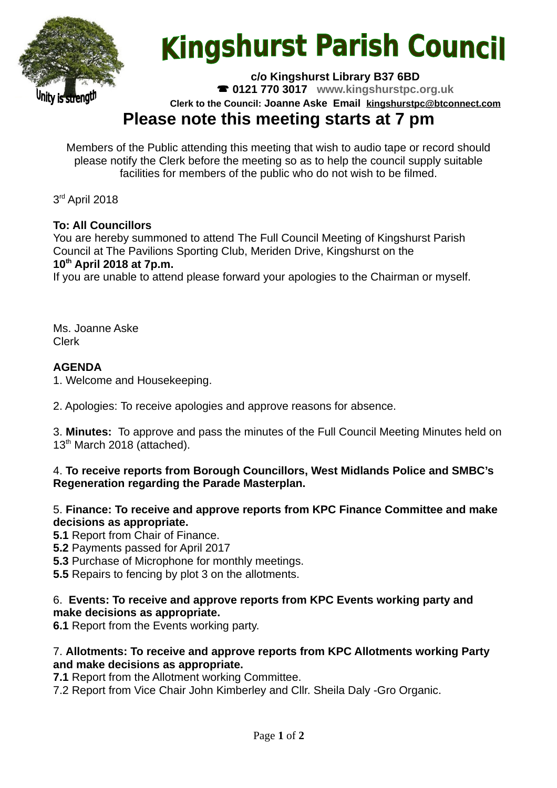

# **Kingshurst Parish Council**

**c/o Kingshurst Library B37 6BD**

**0121 770 3017 www.kingshurstpc.org.uk**

**Clerk to the Council: Joanne Aske Email [kingshurstpc@btconnect.com](mailto:kingshurstpc@btconnect.com)**

## **Please note this meeting starts at 7 pm**

Members of the Public attending this meeting that wish to audio tape or record should please notify the Clerk before the meeting so as to help the council supply suitable facilities for members of the public who do not wish to be filmed.

3<sup>rd</sup> April 2018

#### **To: All Councillors**

You are hereby summoned to attend The Full Council Meeting of Kingshurst Parish Council at The Pavilions Sporting Club, Meriden Drive, Kingshurst on the **10th April 2018 at 7p.m.**

If you are unable to attend please forward your apologies to the Chairman or myself.

Ms. Joanne Aske Clerk

#### **AGENDA**

1. Welcome and Housekeeping.

2. Apologies: To receive apologies and approve reasons for absence.

3. **Minutes:** To approve and pass the minutes of the Full Council Meeting Minutes held on 13<sup>th</sup> March 2018 (attached).

#### 4. **To receive reports from Borough Councillors, West Midlands Police and SMBC's Regeneration regarding the Parade Masterplan.**

#### 5. **Finance: To receive and approve reports from KPC Finance Committee and make decisions as appropriate.**

**5.1** Report from Chair of Finance.

**5.2** Payments passed for April 2017

**5.3** Purchase of Microphone for monthly meetings.

**5.5** Repairs to fencing by plot 3 on the allotments.

#### 6. **Events: To receive and approve reports from KPC Events working party and make decisions as appropriate.**

**6.1** Report from the Events working party.

#### 7. **Allotments: To receive and approve reports from KPC Allotments working Party and make decisions as appropriate.**

**7.1** Report from the Allotment working Committee.

7.2 Report from Vice Chair John Kimberley and Cllr. Sheila Daly -Gro Organic.